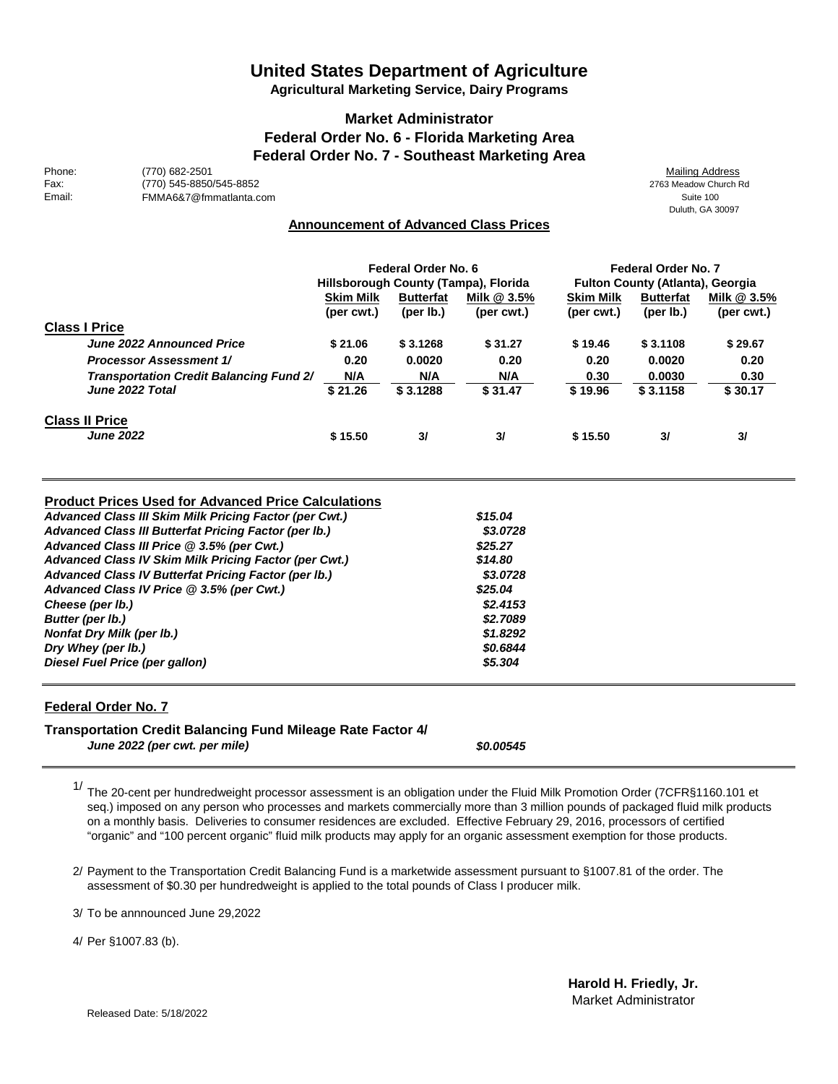# **United States Department of Agriculture**

**Agricultural Marketing Service, Dairy Programs**

### **Market Administrator Federal Order No. 6 - Florida Marketing Area Federal Order No. 7 - Southeast Marketing Area**

Phone: (770) 682-2501 (2008) 776-2008 776-2008 78-3009 78-3009 78-3009 78-4009 78-4009 7700 78-4009 79-4009 770 Fax: (770) 545-8850/545-8852<br>
FMMA6&7@fmmatlanta.com<br>
FMMA6&7@fmmatlanta.com FMMA6&7@fmmatlanta.com

Duluth, GA 30097

### **Announcement of Advanced Class Prices**

|                                                | Federal Order No. 6<br>Hillsborough County (Tampa), Florida |                               |                             | Federal Order No. 7<br><b>Fulton County (Atlanta), Georgia</b> |                                  |                             |
|------------------------------------------------|-------------------------------------------------------------|-------------------------------|-----------------------------|----------------------------------------------------------------|----------------------------------|-----------------------------|
|                                                | <b>Skim Milk</b><br>(per cwt.)                              | <b>Butterfat</b><br>(per lb.) | Milk $@3.5\%$<br>(per cwt.) | <b>Skim Milk</b><br>(per cwt.)                                 | <b>Butterfat</b><br>(per $Ib$ .) | Milk $@3.5\%$<br>(per cwt.) |
| <b>Class I Price</b>                           |                                                             |                               |                             |                                                                |                                  |                             |
| June 2022 Announced Price                      | \$21.06                                                     | \$3.1268                      | \$31.27                     | \$19.46                                                        | \$3.1108                         | \$29.67                     |
| <b>Processor Assessment 1/</b>                 | 0.20                                                        | 0.0020                        | 0.20                        | 0.20                                                           | 0.0020                           | 0.20                        |
| <b>Transportation Credit Balancing Fund 2/</b> | N/A                                                         | N/A                           | N/A                         | 0.30                                                           | 0.0030                           | 0.30                        |
| June 2022 Total                                | \$21.26                                                     | \$3.1288                      | \$31.47                     | \$19.96                                                        | \$3.1158                         | \$30.17                     |
| <b>Class II Price</b>                          |                                                             |                               |                             |                                                                |                                  |                             |
| <b>June 2022</b>                               | \$15.50                                                     | 31                            | 31                          | \$15.50                                                        | 3/                               | 3/                          |

#### **Product Prices Used for Advanced Price Calculations**

| \$15.04  |
|----------|
| \$3,0728 |
| \$25.27  |
| \$14.80  |
| \$3,0728 |
| \$25.04  |
| \$2,4153 |
| \$2,7089 |
| \$1,8292 |
| \$0.6844 |
| \$5,304  |
|          |

### **Federal Order No. 7**

#### **Transportation Credit Balancing Fund Mileage Rate Factor 4/**

*June 2022 (per cwt. per mile)*

*\$0.00545*

1/ The 20-cent per hundredweight processor assessment is an obligation under the Fluid Milk Promotion Order (7CFR§1160.101 et seq.) imposed on any person who processes and markets commercially more than 3 million pounds of packaged fluid milk products on a monthly basis. Deliveries to consumer residences are excluded. Effective February 29, 2016, processors of certified "organic" and "100 percent organic" fluid milk products may apply for an organic assessment exemption for those products.

2/ Payment to the Transportation Credit Balancing Fund is a marketwide assessment pursuant to §1007.81 of the order. The assessment of \$0.30 per hundredweight is applied to the total pounds of Class I producer milk.

3/ To be annnounced June 29,2022

4/ Per §1007.83 (b).